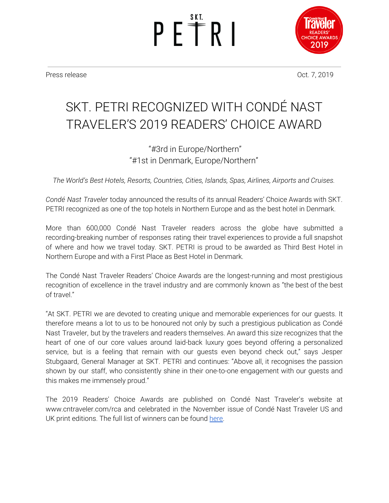PETRI



Press release **Oct.** 7, 2019

## SKT. PETRI RECOGNIZED WITH CONDÉ NAST TRAVELER'S 2019 READERS' CHOICE AWARD

### "#3rd in Europe/Northern" "#1st in Denmark, Europe/Northern"

*The World's Best Hotels, Resorts, Countries, Cities, Islands, Spas, Airlines, Airports and Cruises.*

*Condé Nast Traveler* today announced the results of its annual Readers' Choice Awards with SKT. PETRI recognized as one of the top hotels in Northern Europe and as the best hotel in Denmark.

More than 600,000 Condé Nast Traveler readers across the globe have submitted a recording-breaking number of responses rating their travel experiences to provide a full snapshot of where and how we travel today. SKT. PETRI is proud to be awarded as Third Best Hotel in Northern Europe and with a First Place as Best Hotel in Denmark.

The Condé Nast Traveler Readers' Choice Awards are the longest-running and most prestigious recognition of excellence in the travel industry and are commonly known as "the best of the best of travel."

"At SKT. PETRI we are devoted to creating unique and memorable experiences for our guests. It therefore means a lot to us to be honoured not only by such a prestigious publication as Condé Nast Traveler, but by the travelers and readers themselves. An award this size recognizes that the heart of one of our core values around laid-back luxury goes beyond offering a personalized service, but is a feeling that remain with our guests even beyond check out," says Jesper Stubgaard, General Manager at SKT. PETRI and continues: "Above all, it recognises the passion shown by our staff, who consistently shine in their one-to-one engagement with our guests and this makes me immensely proud."

The 2019 Readers' Choice Awards are published on Condé Nast Traveler's website at www.cntraveler.com/rca and celebrated in the November issue of Condé Nast Traveler US and UK print editions. The full list of winners can be found [here.](https://www.cntraveler.com/readers-choice-awards/europe/northern-europe-top-hotels)